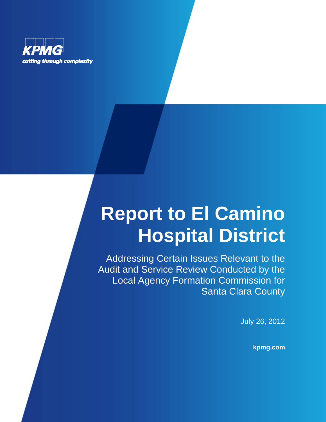

# **Report to El Camino Hospital District**

Addressing Certain Issues Relevant to the Audit and Service Review Conducted by the Local Agency Formation Commission for Santa Clara County

July 26, 2012

**kpmg.com**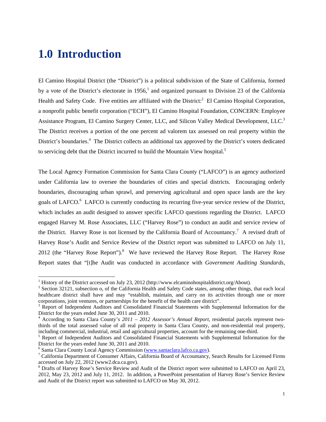## **1.0 Introduction**

1

El Camino Hospital District (the "District") is a political subdivision of the State of California, formed by a vote of the District's electorate in  $1956<sup>1</sup>$  and organized pursuant to Division 23 of the California Health and Safety Code. Five entities are affiliated with the District:<sup>2</sup> El Camino Hospital Corporation, a nonprofit public benefit corporation ("ECH"), El Camino Hospital Foundation, CONCERN: Employee Assistance Program, El Camino Surgery Center, LLC, and Silicon Valley Medical Development, LLC.<sup>3</sup> The District receives a portion of the one percent ad valorem tax assessed on real property within the District's boundaries.<sup>4</sup> The District collects an additional tax approved by the District's voters dedicated to servicing debt that the District incurred to build the Mountain View hospital.<sup>5</sup>

The Local Agency Formation Commission for Santa Clara County ("LAFCO") is an agency authorized under California law to oversee the boundaries of cities and special districts. Encouraging orderly boundaries, discouraging urban sprawl, and preserving agricultural and open space lands are the key goals of LAFCO.<sup>6</sup> LAFCO is currently conducting its recurring five-year service review of the District, which includes an audit designed to answer specific LAFCO questions regarding the District. LAFCO engaged Harvey M. Rose Associates, LLC ("Harvey Rose") to conduct an audit and service review of the District. Harvey Rose is not licensed by the California Board of Accountancy.<sup>7</sup> A revised draft of Harvey Rose's Audit and Service Review of the District report was submitted to LAFCO on July 11, 2012 (the "Harvey Rose Report"). $8$  We have reviewed the Harvey Rose Report. The Harvey Rose Report states that "[t]he Audit was conducted in accordance with *Government Auditing Standards,* 

<sup>&</sup>lt;sup>1</sup> History of the District accessed on July 23, 2012 (http://www.elcaminohospitaldistrict.org/About). <sup>2</sup> Section 2012 1, where the Colifornia Hoelth and Sefety Code states, emang other things

 $2$  Section 32121, subsection o, of the California Health and Safety Code states, among other things, that each local healthcare district shall have and may "establish, maintain, and carry on its activities through one or more corporations, joint ventures, or partnerships for the benefit of the health care district".

<sup>&</sup>lt;sup>3</sup> Report of Independent Auditors and Consolidated Financial Statements with Supplemental Information for the District for the years ended June 30, 2011 and 2010.

According to Santa Clara County's *2011 – 2012 Assessor's Annual Report*, residential parcels represent twothirds of the total assessed value of all real property in Santa Clara County, and non-residential real property, including commercial, industrial, retail and agricultural properties, account for the remaining one-third. 5

<sup>&</sup>lt;sup>5</sup> Report of Independent Auditors and Consolidated Financial Statements with Supplemental Information for the District for the years ended June 30, 2011 and 2010.

<sup>&</sup>lt;sup>6</sup> Santa Clara County Local Agency Commission (www.santaclara.lafco.ca.gov).

California Department of Consumer Affairs, California Board of Accountancy, Search Results for Licensed Firms accessed on July 22, 2012 (www2.dca.ca.gov).

<sup>&</sup>lt;sup>8</sup> Drafts of Harvey Rose's Service Review and Audit of the District report were submitted to LAFCO on April 23, 2012, May 23, 2012 and July 11, 2012. In addition, a PowerPoint presentation of Harvey Rose's Service Review and Audit of the District report was submitted to LAFCO on May 30, 2012.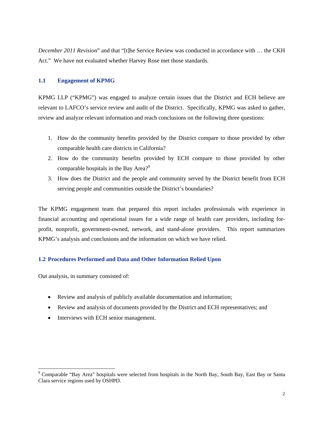*December 2011 Revision*" and that "[t]he Service Review was conducted in accordance with … the CKH Act." We have not evaluated whether Harvey Rose met those standards.

#### **1.1 Engagement of KPMG**

KPMG LLP ("KPMG") was engaged to analyze certain issues that the District and ECH believe are relevant to LAFCO's service review and audit of the District. Specifically, KPMG was asked to gather, review and analyze relevant information and reach conclusions on the following three questions:

- 1. How do the community benefits provided by the District compare to those provided by other comparable health care districts in California?
- 2. How do the community benefits provided by ECH compare to those provided by other comparable hospitals in the Bay Area?<sup>9</sup>
- 3. How does the District and the people and community served by the District benefit from ECH serving people and communities outside the District's boundaries?

The KPMG engagement team that prepared this report includes professionals with experience in financial accounting and operational issues for a wide range of health care providers, including forprofit, nonprofit, government-owned, network, and stand-alone providers. This report summarizes KPMG's analysis and conclusions and the information on which we have relied.

#### **1.2 Procedures Performed and Data and Other Information Relied Upon**

Out analysis, in summary consisted of:

1

- Review and analysis of publicly available documentation and information;
- Review and analysis of documents provided by the District and ECH representatives; and
- Interviews with ECH senior management.

<sup>&</sup>lt;sup>9</sup> Comparable "Bay Area" hospitals were selected from hospitals in the North Bay, South Bay, East Bay or Santa Clara service regions used by OSHPD.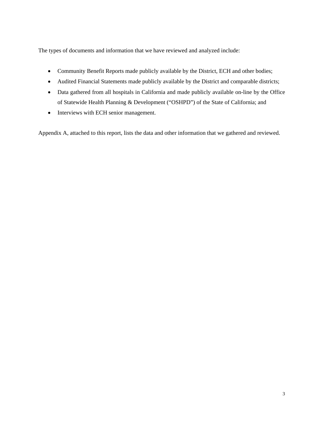The types of documents and information that we have reviewed and analyzed include:

- Community Benefit Reports made publicly available by the District, ECH and other bodies;
- Audited Financial Statements made publicly available by the District and comparable districts;
- Data gathered from all hospitals in California and made publicly available on-line by the Office of Statewide Health Planning & Development ("OSHPD") of the State of California; and
- Interviews with ECH senior management.

Appendix A, attached to this report, lists the data and other information that we gathered and reviewed.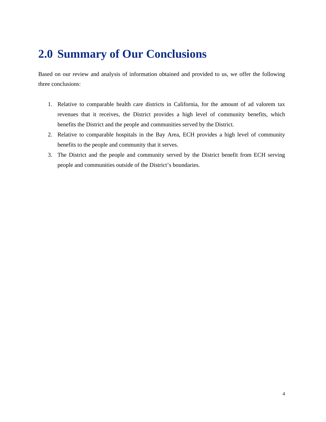# **2.0 Summary of Our Conclusions**

Based on our review and analysis of information obtained and provided to us, we offer the following three conclusions:

- 1. Relative to comparable health care districts in California, for the amount of ad valorem tax revenues that it receives, the District provides a high level of community benefits, which benefits the District and the people and communities served by the District.
- 2. Relative to comparable hospitals in the Bay Area, ECH provides a high level of community benefits to the people and community that it serves.
- 3. The District and the people and community served by the District benefit from ECH serving people and communities outside of the District's boundaries.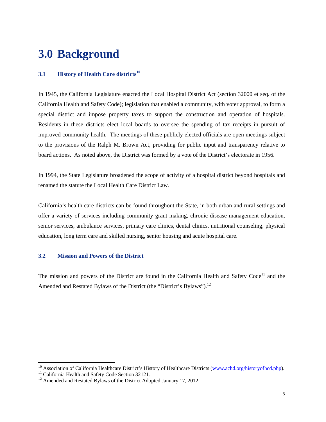# **3.0 Background**

#### **3.1 History of Health Care districts<sup>10</sup>**

In 1945, the California Legislature enacted the Local Hospital District Act (section 32000 et seq. of the California Health and Safety Code); legislation that enabled a community, with voter approval, to form a special district and impose property taxes to support the construction and operation of hospitals. Residents in these districts elect local boards to oversee the spending of tax receipts in pursuit of improved community health. The meetings of these publicly elected officials are open meetings subject to the provisions of the Ralph M. Brown Act, providing for public input and transparency relative to board actions. As noted above, the District was formed by a vote of the District's electorate in 1956.

In 1994, the State Legislature broadened the scope of activity of a hospital district beyond hospitals and renamed the statute the Local Health Care District Law.

California's health care districts can be found throughout the State, in both urban and rural settings and offer a variety of services including community grant making, chronic disease management education, senior services, ambulance services, primary care clinics, dental clinics, nutritional counseling, physical education, long term care and skilled nursing, senior housing and acute hospital care.

#### **3.2 Mission and Powers of the District**

The mission and powers of the District are found in the California Health and Safety Code<sup>11</sup> and the Amended and Restated Bylaws of the District (the "District's Bylaws").<sup>12</sup>

1

<sup>&</sup>lt;sup>10</sup> Association of California Healthcare District's History of Healthcare Districts (www.achd.org/historyofhcd.php).<br><sup>11</sup> California Health and Safety Code Section 32121.

<sup>&</sup>lt;sup>11</sup> California Health and Safety Code Section 32121.<br><sup>12</sup> Amended and Restated Bylaws of the District Adopted January 17, 2012.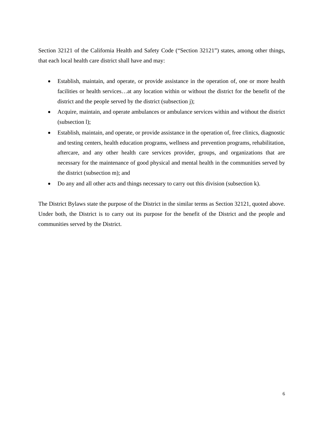Section 32121 of the California Health and Safety Code ("Section 32121") states, among other things, that each local health care district shall have and may:

- Establish, maintain, and operate, or provide assistance in the operation of, one or more health facilities or health services…at any location within or without the district for the benefit of the district and the people served by the district (subsection j);
- Acquire, maintain, and operate ambulances or ambulance services within and without the district (subsection l);
- Establish, maintain, and operate, or provide assistance in the operation of, free clinics, diagnostic and testing centers, health education programs, wellness and prevention programs, rehabilitation, aftercare, and any other health care services provider, groups, and organizations that are necessary for the maintenance of good physical and mental health in the communities served by the district (subsection m); and
- Do any and all other acts and things necessary to carry out this division (subsection k).

The District Bylaws state the purpose of the District in the similar terms as Section 32121, quoted above. Under both, the District is to carry out its purpose for the benefit of the District and the people and communities served by the District.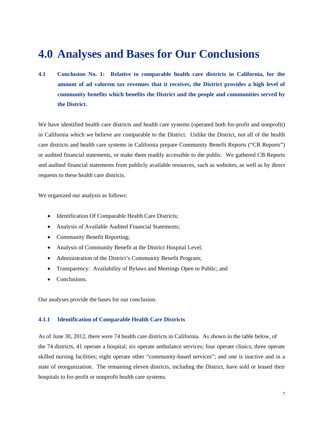### **4.0 Analyses and Bases for Our Conclusions**

**4.1 Conclusion No. 1: Relative to comparable health care districts in California, for the amount of ad valorem tax revenues that it receives, the District provides a high level of community benefits which benefits the District and the people and communities served by the District.** 

We have identified health care districts and health care systems (operated both for-profit and nonprofit) in California which we believe are comparable to the District. Unlike the District, not all of the health care districts and health care systems in California prepare Community Benefit Reports ("CB Reports") or audited financial statements, or make them readily accessible to the public. We gathered CB Reports and audited financial statements from publicly available resources, such as websites, as well as by direct requests to these health care districts.

We organized our analysis as follows:

- Identification Of Comparable Health Care Districts;
- Analysis of Available Audited Financial Statements;
- Community Benefit Reporting;
- Analysis of Community Benefit at the District Hospital Level;
- Administration of the District's Community Benefit Program;
- Transparency: Availability of Bylaws and Meetings Open to Public; and
- Conclusions.

Our analyses provide the bases for our conclusion.

#### **4.1.1 Identification of Comparable Health Care Districts**

As of June 30, 2012, there were 74 health care districts in California. As shown in the table below, of the 74 districts, 41 operate a hospital; six operate ambulance services; four operate clinics; three operate skilled nursing facilities; eight operate other "community-based services"; and one is inactive and in a state of reorganization. The remaining eleven districts, including the District, have sold or leased their hospitals to for-profit or nonprofit health care systems.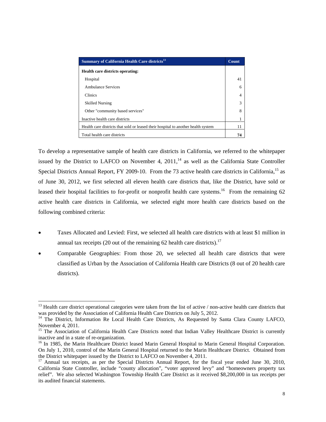| Summary of California Health Care districts <sup>13</sup>                         | Count |
|-----------------------------------------------------------------------------------|-------|
| <b>Health care districts operating:</b>                                           |       |
| Hospital                                                                          | 41    |
| Ambulance Services                                                                | 6     |
| Clinics                                                                           | 4     |
| <b>Skilled Nursing</b>                                                            | 3     |
| Other "community based services"                                                  | 8     |
| Inactive health care districts                                                    |       |
| Health care districts that sold or leased their hospital to another health system | 11    |
| Total health care districts                                                       | 74    |

To develop a representative sample of health care districts in California, we referred to the whitepaper issued by the District to LAFCO on November 4,  $2011<sup>14</sup>$ , as well as the California State Controller Special Districts Annual Report, FY 2009-10. From the 73 active health care districts in California,<sup>15</sup> as of June 30, 2012, we first selected all eleven health care districts that, like the District, have sold or leased their hospital facilities to for-profit or nonprofit health care systems.<sup>16</sup> From the remaining  $62$ active health care districts in California, we selected eight more health care districts based on the following combined criteria:

- Taxes Allocated and Levied: First, we selected all health care districts with at least \$1 million in annual tax receipts (20 out of the remaining 62 health care districts).<sup>17</sup>
- Comparable Geographies: From those 20, we selected all health care districts that were classified as Urban by the Association of California Health care Districts (8 out of 20 health care districts).

l <sup>13</sup> Health care district operational categories were taken from the list of active / non-active health care districts that was provided by the Association of California Health Care Districts on July 5, 2012.

<sup>&</sup>lt;sup>14</sup> The District, Information Re Local Health Care Districts, As Requested by Santa Clara County LAFCO, November 4, 2011.

<sup>&</sup>lt;sup>15</sup> The Association of California Health Care Districts noted that Indian Valley Healthcare District is currently inactive and in a state of re-organization.

<sup>&</sup>lt;sup>16</sup> In 1985, the Marin Healthcare District leased Marin General Hospital to Marin General Hospital Corporation. On July 1, 2010, control of the Marin General Hospital returned to the Marin Healthcare District. Obtained from the District whitepaper issued by the District to LAFCO on November 4, 2011.

 $17$  Annual tax receipts, as per the Special Districts Annual Report, for the fiscal year ended June 30, 2010, California State Controller, include "county allocation", "voter approved levy" and "homeowners property tax relief". We also selected Washington Township Health Care District as it received \$8,200,000 in tax receipts per its audited financial statements.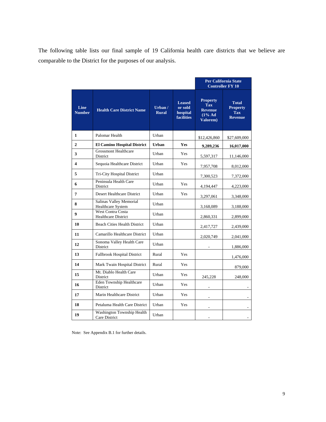The following table lists our final sample of 19 California health care districts that we believe are comparable to the District for the purposes of our analysis.

|                         |                                                        |                         |                                                           |                                                                                           | <b>Per California State</b><br><b>Controller FY 10</b>          |
|-------------------------|--------------------------------------------------------|-------------------------|-----------------------------------------------------------|-------------------------------------------------------------------------------------------|-----------------------------------------------------------------|
| Line<br><b>Number</b>   | <b>Health Care District Name</b>                       | Urban /<br><b>Rural</b> | <b>Leased</b><br>or sold<br>hospital<br><b>facilities</b> | <b>Property</b><br><b>Tax</b><br><b>Revenue</b><br>$(1\% \text{ Ad})$<br><b>Valorem</b> ) | <b>Total</b><br><b>Property</b><br><b>Tax</b><br><b>Revenue</b> |
| $\mathbf{1}$            | Palomar Health                                         | Urban                   |                                                           | \$12,426,860                                                                              | \$27,609,000                                                    |
| $\overline{2}$          | <b>El Camino Hospital District</b>                     | <b>Urban</b>            | <b>Yes</b>                                                | 9,289,236                                                                                 | 16,017,000                                                      |
| 3                       | <b>Grossmont Healthcare</b><br>District                | Urban                   | Yes                                                       | 5,597,317                                                                                 | 11,146,000                                                      |
| $\overline{\mathbf{4}}$ | Sequoia Healthcare District                            | Urban                   | <b>Yes</b>                                                | 7,957,708                                                                                 | 8,012,000                                                       |
| 5                       | Tri-City Hospital District                             | Urban                   |                                                           | 7,300,523                                                                                 | 7,372,000                                                       |
| 6                       | Peninsula Health Care<br>District                      | Urban                   | Yes                                                       | 4,194,447                                                                                 | 4,223,000                                                       |
| $\overline{7}$          | Desert Healthcare District                             | Urban                   | <b>Yes</b>                                                | 3,297,061                                                                                 | 3,348,000                                                       |
| 8                       | Salinas Valley Memorial<br><b>Healthcare System</b>    | Urban                   |                                                           | 3,168,089                                                                                 | 3,188,000                                                       |
| 9                       | <b>West Contra Costa</b><br><b>Healthcare District</b> | Urban                   |                                                           | 2,860,331                                                                                 | 2,899,000                                                       |
| 10                      | <b>Beach Cities Health District</b>                    | Urban                   |                                                           | 2,417,727                                                                                 | 2,439,000                                                       |
| 11                      | Camarillo Healthcare District                          | Urban                   |                                                           | 2,020,749                                                                                 | 2,041,000                                                       |
| 12                      | Sonoma Valley Health Care<br>District                  | Urban                   |                                                           |                                                                                           | 1,886,000                                                       |
| 13                      | <b>Fallbrook Hospital District</b>                     | Rural                   | Yes                                                       |                                                                                           | 1,476,000                                                       |
| 14                      | Mark Twain Hospital District                           | Rural                   | Yes                                                       |                                                                                           | 879,000                                                         |
| 15                      | Mt. Diablo Health Care<br>District                     | Urban                   | <b>Yes</b>                                                | 245,228                                                                                   | 248,000                                                         |
| 16                      | Eden Township Healthcare<br>District                   | Urban                   | Yes                                                       | L,                                                                                        |                                                                 |
| 17                      | Marin Healthcare District                              | Urban                   | Yes                                                       |                                                                                           |                                                                 |
| 18                      | Petaluma Health Care District                          | Urban                   | Yes                                                       |                                                                                           |                                                                 |
| 19                      | Washington Township Health<br>Care District            | Urban                   |                                                           |                                                                                           |                                                                 |

Note: See Appendix B.1 for further details.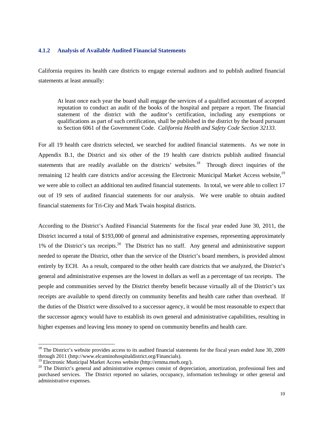#### **4.1.2 Analysis of Available Audited Financial Statements**

California requires its health care districts to engage external auditors and to publish audited financial statements at least annually:

At least once each year the board shall engage the services of a qualified accountant of accepted reputation to conduct an audit of the books of the hospital and prepare a report. The financial statement of the district with the auditor's certification, including any exemptions or qualifications as part of such certification, shall be published in the district by the board pursuant to Section 6061 of the Government Code. *California Health and Safety Code Section 32133.*

For all 19 health care districts selected, we searched for audited financial statements. As we note in Appendix B.1, the District and six other of the 19 health care districts publish audited financial statements that are readily available on the districts' websites.<sup>18</sup> Through direct inquiries of the remaining 12 health care districts and/or accessing the Electronic Municipal Market Access website,<sup>19</sup> we were able to collect an additional ten audited financial statements. In total, we were able to collect 17 out of 19 sets of audited financial statements for our analysis. We were unable to obtain audited financial statements for Tri-City and Mark Twain hospital districts.

According to the District's Audited Financial Statements for the fiscal year ended June 30, 2011, the District incurred a total of \$193,000 of general and administrative expenses, representing approximately 1% of the District's tax receipts.20 The District has no staff. Any general and administrative support needed to operate the District, other than the service of the District's board members, is provided almost entirely by ECH. As a result, compared to the other health care districts that we analyzed, the District's general and administrative expenses are the lowest in dollars as well as a percentage of tax receipts. The people and communities served by the District thereby benefit because virtually all of the District's tax receipts are available to spend directly on community benefits and health care rather than overhead. If the duties of the District were dissolved to a successor agency, it would be most reasonable to expect that the successor agency would have to establish its own general and administrative capabilities, resulting in higher expenses and leaving less money to spend on community benefits and health care.

1

 $18$  The District's website provides access to its audited financial statements for the fiscal years ended June 30, 2009 through 2011 (http://www.elcaminohospitaldistrict.org/Financials).

<sup>19</sup> Electronic Municipal Market Access website (http://emma.msrb.org/).

<sup>&</sup>lt;sup>20</sup> The District's general and administrative expenses consist of depreciation, amortization, professional fees and purchased services. The District reported no salaries, occupancy, information technology or other general and administrative expenses.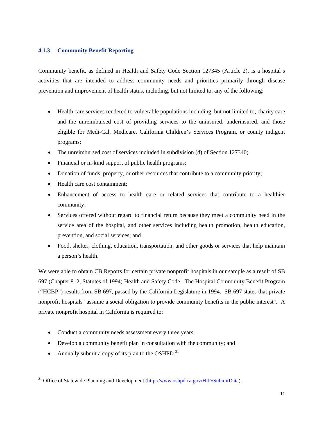#### **4.1.3 Community Benefit Reporting**

Community benefit, as defined in Health and Safety Code Section 127345 (Article 2), is a hospital's activities that are intended to address community needs and priorities primarily through disease prevention and improvement of health status, including, but not limited to, any of the following:

- Health care services rendered to vulnerable populations including, but not limited to, charity care and the unreimbursed cost of providing services to the uninsured, underinsured, and those eligible for Medi-Cal, Medicare, California Children's Services Program, or county indigent programs;
- The unreimbursed cost of services included in subdivision (d) of Section 127340;
- Financial or in-kind support of public health programs;
- Donation of funds, property, or other resources that contribute to a community priority;
- Health care cost containment:
- Enhancement of access to health care or related services that contribute to a healthier community;
- Services offered without regard to financial return because they meet a community need in the service area of the hospital, and other services including health promotion, health education, prevention, and social services; and
- Food, shelter, clothing, education, transportation, and other goods or services that help maintain a person's health.

We were able to obtain CB Reports for certain private nonprofit hospitals in our sample as a result of SB 697 (Chapter 812, Statutes of 1994) Health and Safety Code. The Hospital Community Benefit Program ("HCBP") results from SB 697, passed by the California Legislature in 1994. SB 697 states that private nonprofit hospitals "assume a social obligation to provide community benefits in the public interest". A private nonprofit hospital in California is required to:

- Conduct a community needs assessment every three years;
- Develop a community benefit plan in consultation with the community; and
- Annually submit a copy of its plan to the OSHPD.<sup>21</sup>

l

<sup>&</sup>lt;sup>21</sup> Office of Statewide Planning and Development (http://www.oshpd.ca.gov/HID/SubmitData).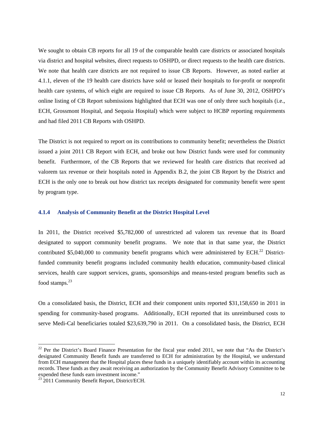We sought to obtain CB reports for all 19 of the comparable health care districts or associated hospitals via district and hospital websites, direct requests to OSHPD, or direct requests to the health care districts. We note that health care districts are not required to issue CB Reports. However, as noted earlier at 4.1.1, eleven of the 19 health care districts have sold or leased their hospitals to for-profit or nonprofit health care systems, of which eight are required to issue CB Reports. As of June 30, 2012, OSHPD's online listing of CB Report submissions highlighted that ECH was one of only three such hospitals (i.e., ECH, Grossmont Hospital, and Sequoia Hospital) which were subject to HCBP reporting requirements and had filed 2011 CB Reports with OSHPD.

The District is not required to report on its contributions to community benefit; nevertheless the District issued a joint 2011 CB Report with ECH, and broke out how District funds were used for community benefit. Furthermore, of the CB Reports that we reviewed for health care districts that received ad valorem tax revenue or their hospitals noted in Appendix B.2, the joint CB Report by the District and ECH is the only one to break out how district tax receipts designated for community benefit were spent by program type.

#### **4.1.4 Analysis of Community Benefit at the District Hospital Level**

In 2011, the District received \$5,782,000 of unrestricted ad valorem tax revenue that its Board designated to support community benefit programs. We note that in that same year, the District contributed \$5,040,000 to community benefit programs which were administered by ECH.<sup>22</sup> Districtfunded community benefit programs included community health education, community-based clinical services, health care support services, grants, sponsorships and means-tested program benefits such as food stamps. $^{23}$ 

On a consolidated basis, the District, ECH and their component units reported \$31,158,650 in 2011 in spending for community-based programs. Additionally, ECH reported that its unreimbursed costs to serve Medi-Cal beneficiaries totaled \$23,639,790 in 2011. On a consolidated basis, the District, ECH

l

 $22$  Per the District's Board Finance Presentation for the fiscal year ended 2011, we note that "As the District's designated Community Benefit funds are transferred to ECH for administration by the Hospital, we understand from ECH management that the Hospital places these funds in a uniquely identifiably account within its accounting records. These funds as they await receiving an authorization by the Community Benefit Advisory Committee to be expended these funds earn investment income." 23 2011 Community Benefit Report, District/ECH.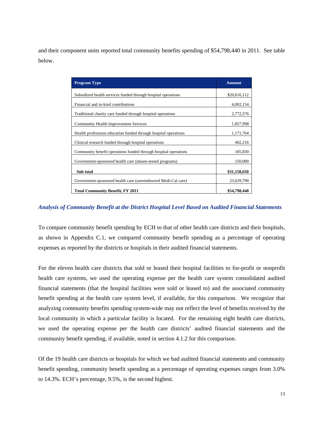and their component units reported total community benefits spending of \$54,798,440 in 2011. See table below.

| <b>Program Type</b>                                             | <b>Amount</b> |
|-----------------------------------------------------------------|---------------|
| Subsidized health services funded through hospital operations   | \$20,616,112  |
| Financial and in-kind contributions                             | 4,002,154     |
| Traditional charity care funded through hospital operations     | 2,772,576     |
| <b>Community Health Improvement Services</b>                    | 1,857,998     |
| Health professions education funded through hospital operations | 1,171,764     |
| Clinical research funded through hospital operations            | 402,216       |
| Community benefit operations funded through hospital operations | 185,830       |
| Government-sponsored health care (means-tested programs)        | 150,000       |
| Sub total                                                       | \$31,158,650  |
| Government-sponsored health care (unreimbursed Medi-Cal care)   | 23,639,790    |
| <b>Total Community Benefit, FY 2011</b>                         | \$54,798,440  |

#### *Analysis of Community Benefit at the District Hospital Level Based on Audited Financial Statements*

To compare community benefit spending by ECH to that of other health care districts and their hospitals, as shown in Appendix C.1, we compared community benefit spending as a percentage of operating expenses as reported by the districts or hospitals in their audited financial statements.

For the eleven health care districts that sold or leased their hospital facilities to for-profit or nonprofit health care systems, we used the operating expense per the health care system consolidated audited financial statements (that the hospital facilities were sold or leased to) and the associated community benefit spending at the health care system level, if available, for this comparison. We recognize that analyzing community benefits spending system-wide may not reflect the level of benefits received by the local community in which a particular facility is located. For the remaining eight health care districts, we used the operating expense per the health care districts' audited financial statements and the community benefit spending, if available, noted in section 4.1.2 for this comparison.

Of the 19 health care districts or hospitals for which we had audited financial statements and community benefit spending, community benefit spending as a percentage of operating expenses ranges from 3.0% to 14.3%. ECH's percentage, 9.5%, is the second highest.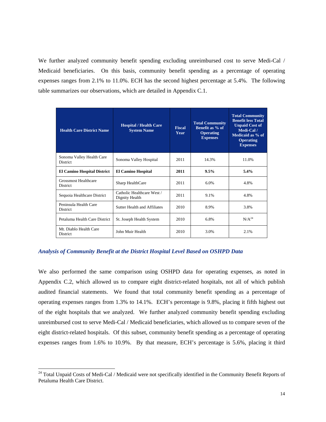We further analyzed community benefit spending excluding unreimbursed cost to serve Medi-Cal / Medicaid beneficiaries. On this basis, community benefit spending as a percentage of operating expenses ranges from 2.1% to 11.0%. ECH has the second highest percentage at 5.4%. The following table summarizes our observations, which are detailed in Appendix C.1.

| <b>Health Care District Name</b>               | <b>Hospital / Health Care</b><br><b>Fiscal</b><br><b>System Name</b><br>Year |      | <b>Total Community</b><br>Benefit as % of<br><b>Operating</b><br><b>Expenses</b> | <b>Total Community</b><br><b>Benefit less Total</b><br><b>Unpaid Cost of</b><br>Medi-Cal/<br>Medicaid as % of<br><b>Operating</b><br><b>Expenses</b> |
|------------------------------------------------|------------------------------------------------------------------------------|------|----------------------------------------------------------------------------------|------------------------------------------------------------------------------------------------------------------------------------------------------|
| Sonoma Valley Health Care<br><b>District</b>   | Sonoma Valley Hospital                                                       | 2011 | 14.3%                                                                            | 11.0%                                                                                                                                                |
| <b>El Camino Hospital District</b>             | <b>El Camino Hospital</b>                                                    | 2011 | 9.5%                                                                             | 5.4%                                                                                                                                                 |
| <b>Grossmost Healthcare</b><br><b>District</b> | Sharp HealthCare                                                             | 2011 | 6.0%                                                                             | 4.8%                                                                                                                                                 |
| Sequoia Healthcare District                    | Catholic Healthcare West /<br>Dignity Health                                 | 2011 | 9.1%                                                                             | 4.8%                                                                                                                                                 |
| Peninsula Health Care<br><b>District</b>       | <b>Sutter Health and Affiliates</b>                                          | 2010 | 8.9%                                                                             | 3.8%                                                                                                                                                 |
| Petaluma Health Care District                  | St. Joseph Health System                                                     | 2010 | 6.8%                                                                             | $N/A^{24}$                                                                                                                                           |
| Mt. Diablo Health Care<br><b>District</b>      | John Muir Health                                                             | 2010 | 3.0%                                                                             | 2.1%                                                                                                                                                 |

#### *Analysis of Community Benefit at the District Hospital Level Based on OSHPD Data*

l

We also performed the same comparison using OSHPD data for operating expenses, as noted in Appendix C.2, which allowed us to compare eight district-related hospitals, not all of which publish audited financial statements. We found that total community benefit spending as a percentage of operating expenses ranges from 1.3% to 14.1%. ECH's percentage is 9.8%, placing it fifth highest out of the eight hospitals that we analyzed. We further analyzed community benefit spending excluding unreimbursed cost to serve Medi-Cal / Medicaid beneficiaries, which allowed us to compare seven of the eight district-related hospitals. Of this subset, community benefit spending as a percentage of operating expenses ranges from 1.6% to 10.9%. By that measure, ECH's percentage is 5.6%, placing it third

<sup>&</sup>lt;sup>24</sup> Total Unpaid Costs of Medi-Cal / Medicaid were not specifically identified in the Community Benefit Reports of Petaluma Health Care District.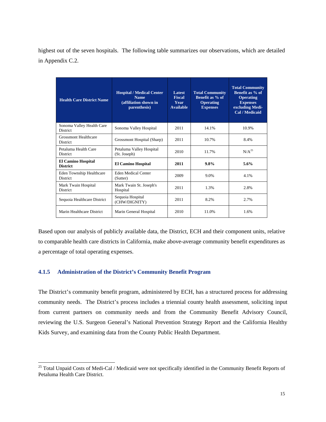highest out of the seven hospitals. The following table summarizes our observations, which are detailed in Appendix C.2.

| <b>Health Care District Name</b>                   | <b>Hospital / Medical Center</b><br><b>Name</b><br>(affiliation shown in<br>parenthesis) | Latest<br><b>Fiscal</b><br>Year<br><b>Available</b> | <b>Total Community</b><br>Benefit as % of<br><b>Operating</b><br><b>Expenses</b> | <b>Total Community</b><br>Benefit as % of<br><b>Operating</b><br><b>Expenses</b><br>excluding Medi-<br>Cal / Medicaid |
|----------------------------------------------------|------------------------------------------------------------------------------------------|-----------------------------------------------------|----------------------------------------------------------------------------------|-----------------------------------------------------------------------------------------------------------------------|
| Sonoma Valley Health Care<br><b>District</b>       | Sonoma Valley Hospital                                                                   | 2011                                                | 14.1%                                                                            | 10.9%                                                                                                                 |
| <b>Grossmont Healthcare</b><br><b>District</b>     | Grossmont Hospital (Sharp)                                                               | 2011                                                | 10.7%                                                                            | 8.4%                                                                                                                  |
| Petaluma Health Care<br><b>District</b>            | Petaluma Valley Hospital<br>(St. Joseph)                                                 | 2010                                                | 11.7%                                                                            | $N/A^{25}$                                                                                                            |
| <b>El Camino Hospital</b><br><b>District</b>       | <b>El Camino Hospital</b>                                                                | 2011                                                | 9.8%                                                                             | 5.6%                                                                                                                  |
| <b>Eden Township Healthcare</b><br><b>District</b> | Eden Medical Center<br>(Sutter)                                                          | 2009                                                | 9.0%                                                                             | 4.1%                                                                                                                  |
| Mark Twain Hospital<br><b>District</b>             | Mark Twain St. Joseph's<br>Hospital                                                      | 2011                                                | 1.3%                                                                             | 2.8%                                                                                                                  |
| Sequoia Healthcare District                        | Sequoia Hospital<br>(CHW/DIGNITY)                                                        | 2011                                                | 8.2%                                                                             | 2.7%                                                                                                                  |
| Marin Healthcare District                          | Marin General Hospital                                                                   | 2010                                                | 11.0%                                                                            | 1.6%                                                                                                                  |

Based upon our analysis of publicly available data, the District, ECH and their component units, relative to comparable health care districts in California, make above-average community benefit expenditures as a percentage of total operating expenses.

#### **4.1.5 Administration of the District's Community Benefit Program**

l

The District's community benefit program, administered by ECH, has a structured process for addressing community needs. The District's process includes a triennial county health assessment, soliciting input from current partners on community needs and from the Community Benefit Advisory Council, reviewing the U.S. Surgeon General's National Prevention Strategy Report and the California Healthy Kids Survey, and examining data from the County Public Health Department.

<sup>&</sup>lt;sup>25</sup> Total Unpaid Costs of Medi-Cal / Medicaid were not specifically identified in the Community Benefit Reports of Petaluma Health Care District.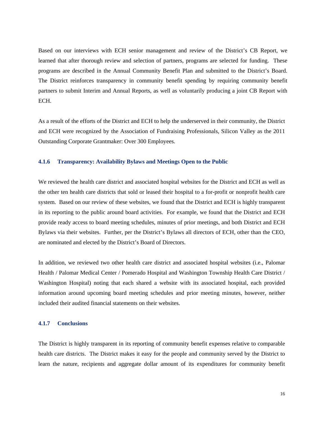Based on our interviews with ECH senior management and review of the District's CB Report, we learned that after thorough review and selection of partners, programs are selected for funding. These programs are described in the Annual Community Benefit Plan and submitted to the District's Board. The District reinforces transparency in community benefit spending by requiring community benefit partners to submit Interim and Annual Reports, as well as voluntarily producing a joint CB Report with ECH.

As a result of the efforts of the District and ECH to help the underserved in their community, the District and ECH were recognized by the Association of Fundraising Professionals, Silicon Valley as the 2011 Outstanding Corporate Grantmaker: Over 300 Employees.

#### **4.1.6 Transparency: Availability Bylaws and Meetings Open to the Public**

We reviewed the health care district and associated hospital websites for the District and ECH as well as the other ten health care districts that sold or leased their hospital to a for-profit or nonprofit health care system. Based on our review of these websites, we found that the District and ECH is highly transparent in its reporting to the public around board activities. For example, we found that the District and ECH provide ready access to board meeting schedules, minutes of prior meetings, and both District and ECH Bylaws via their websites. Further, per the District's Bylaws all directors of ECH, other than the CEO, are nominated and elected by the District's Board of Directors.

In addition, we reviewed two other health care district and associated hospital websites (i.e., Palomar Health / Palomar Medical Center / Pomerado Hospital and Washington Township Health Care District / Washington Hospital) noting that each shared a website with its associated hospital, each provided information around upcoming board meeting schedules and prior meeting minutes, however, neither included their audited financial statements on their websites.

#### **4.1.7 Conclusions**

The District is highly transparent in its reporting of community benefit expenses relative to comparable health care districts. The District makes it easy for the people and community served by the District to learn the nature, recipients and aggregate dollar amount of its expenditures for community benefit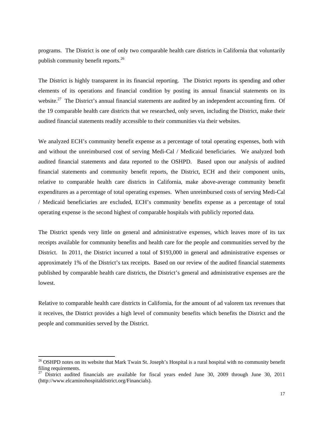programs. The District is one of only two comparable health care districts in California that voluntarily publish community benefit reports.26

The District is highly transparent in its financial reporting. The District reports its spending and other elements of its operations and financial condition by posting its annual financial statements on its website.<sup>27</sup> The District's annual financial statements are audited by an independent accounting firm. Of the 19 comparable health care districts that we researched, only seven, including the District, make their audited financial statements readily accessible to their communities via their websites.

We analyzed ECH's community benefit expense as a percentage of total operating expenses, both with and without the unreimbursed cost of serving Medi-Cal / Medicaid beneficiaries. We analyzed both audited financial statements and data reported to the OSHPD. Based upon our analysis of audited financial statements and community benefit reports, the District, ECH and their component units, relative to comparable health care districts in California, make above-average community benefit expenditures as a percentage of total operating expenses. When unreimbursed costs of serving Medi-Cal / Medicaid beneficiaries are excluded, ECH's community benefits expense as a percentage of total operating expense is the second highest of comparable hospitals with publicly reported data.

The District spends very little on general and administrative expenses, which leaves more of its tax receipts available for community benefits and health care for the people and communities served by the District. In 2011, the District incurred a total of \$193,000 in general and administrative expenses or approximately 1% of the District's tax receipts. Based on our review of the audited financial statements published by comparable health care districts, the District's general and administrative expenses are the lowest.

Relative to comparable health care districts in California, for the amount of ad valorem tax revenues that it receives, the District provides a high level of community benefits which benefits the District and the people and communities served by the District.

1

<sup>&</sup>lt;sup>26</sup> OSHPD notes on its website that Mark Twain St. Joseph's Hospital is a rural hospital with no community benefit filing requirements.

<sup>&</sup>lt;sup>27</sup> District audited financials are available for fiscal years ended June 30, 2009 through June 30, 2011 (http://www.elcaminohospitaldistrict.org/Financials).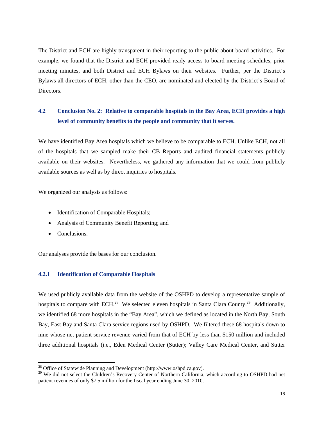The District and ECH are highly transparent in their reporting to the public about board activities. For example, we found that the District and ECH provided ready access to board meeting schedules, prior meeting minutes, and both District and ECH Bylaws on their websites. Further, per the District's Bylaws all directors of ECH, other than the CEO, are nominated and elected by the District's Board of Directors.

#### **4.2 Conclusion No. 2: Relative to comparable hospitals in the Bay Area, ECH provides a high level of community benefits to the people and community that it serves.**

We have identified Bay Area hospitals which we believe to be comparable to ECH. Unlike ECH, not all of the hospitals that we sampled make their CB Reports and audited financial statements publicly available on their websites. Nevertheless, we gathered any information that we could from publicly available sources as well as by direct inquiries to hospitals.

We organized our analysis as follows:

- Identification of Comparable Hospitals;
- Analysis of Community Benefit Reporting; and
- Conclusions.

1

Our analyses provide the bases for our conclusion.

#### **4.2.1 Identification of Comparable Hospitals**

We used publicly available data from the website of the OSHPD to develop a representative sample of hospitals to compare with ECH.<sup>28</sup> We selected eleven hospitals in Santa Clara County.<sup>29</sup> Additionally, we identified 68 more hospitals in the "Bay Area", which we defined as located in the North Bay, South Bay, East Bay and Santa Clara service regions used by OSHPD. We filtered these 68 hospitals down to nine whose net patient service revenue varied from that of ECH by less than \$150 million and included three additional hospitals (i.e., Eden Medical Center (Sutter); Valley Care Medical Center, and Sutter

 $^{28}$  Office of Statewide Planning and Development (http://www.oshpd.ca.gov).

<sup>&</sup>lt;sup>29</sup> We did not select the Children's Recovery Center of Northern California, which according to OSHPD had net patient revenues of only \$7.5 million for the fiscal year ending June 30, 2010.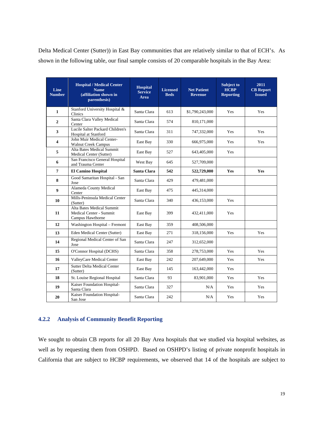Delta Medical Center (Sutter)) in East Bay communities that are relatively similar to that of ECH's. As shown in the following table, our final sample consists of 20 comparable hospitals in the Bay Area:

| Line<br><b>Number</b>   | <b>Hospital / Medical Center</b><br><b>Name</b><br>(affiliation shown in<br>parenthesis) | <b>Hospital</b><br><b>Service</b><br>Area | <b>Licensed</b><br><b>Beds</b> | <b>Net Patient</b><br><b>Revenue</b> | <b>Subject to</b><br><b>HCBP</b><br><b>Reporting</b> | 2011<br><b>CB</b> Report<br><b>Issued</b> |
|-------------------------|------------------------------------------------------------------------------------------|-------------------------------------------|--------------------------------|--------------------------------------|------------------------------------------------------|-------------------------------------------|
| $\mathbf{1}$            | Stanford University Hospital &<br>Clinics                                                | Santa Clara                               | 613                            | \$1,790,243,000                      | Yes                                                  | Yes                                       |
| $\overline{2}$          | Santa Clara Valley Medical<br>Center                                                     | Santa Clara                               | 574                            | 810,171,000                          |                                                      |                                           |
| 3                       | Lucile Salter Packard Children's<br>Hospital at Stanford                                 | Santa Clara                               | 311                            | 747,332,000                          | Yes                                                  | Yes                                       |
| $\overline{\mathbf{4}}$ | John Muir Medical Center-<br><b>Walnut Creek Campus</b>                                  | East Bay                                  | 330                            | 666,975,000                          | Yes                                                  | Yes                                       |
| 5                       | Alta Bates Medical Summit<br>Medical Center (Sutter)                                     | East Bay                                  | 527                            | 643,405,000                          | <b>Yes</b>                                           |                                           |
| 6                       | San Francisco General Hospital<br>and Trauma Center                                      | West Bay                                  | 645                            | 527,709,000                          |                                                      |                                           |
| $\overline{7}$          | <b>El Camino Hospital</b>                                                                | Santa Clara                               | 542                            | 522,729,000                          | Yes                                                  | <b>Yes</b>                                |
| 8                       | Good Samaritan Hospital - San<br>Jose                                                    | Santa Clara                               | 429                            | 479,481,000                          |                                                      |                                           |
| 9                       | Alameda County Medical<br>Center                                                         | East Bay                                  | 475                            | 445,314,000                          |                                                      |                                           |
| 10                      | Mills-Peninsula Medical Center<br>(Sutter)                                               | Santa Clara                               | 340                            | 436,153,000                          | Yes                                                  |                                           |
| 11                      | Alta Bates Medical Summit<br>Medical Center - Summit<br>Campus Hawthorne                 | East Bay                                  | 399                            | 432,411,000                          | Yes                                                  |                                           |
| 12                      | Washington Hospital - Fremont                                                            | East Bay                                  | 359                            | 408,506,000                          |                                                      |                                           |
| 13                      | Eden Medical Center (Sutter)                                                             | East Bay                                  | 271                            | 318,156,000                          | Yes                                                  | Yes                                       |
| 14                      | Regional Medical Center of San<br>Jose                                                   | Santa Clara                               | 247                            | 312,652,000                          |                                                      |                                           |
| 15                      | O'Connor Hospital (DCHS)                                                                 | Santa Clara                               | 358                            | 278,753,000                          | Yes                                                  | Yes                                       |
| 16                      | ValleyCare Medical Center                                                                | East Bay                                  | 242                            | 207,649,000                          | Yes                                                  | Yes                                       |
| 17                      | <b>Sutter Delta Medical Center</b><br>(Sutter)                                           | East Bay                                  | 145                            | 163,442,000                          | Yes                                                  |                                           |
| 18                      | St. Louise Regional Hospital                                                             | Santa Clara                               | 93                             | 83,901,000                           | Yes                                                  | Yes                                       |
| 19                      | Kaiser Foundation Hospital-<br>Santa Clara                                               | Santa Clara                               | 327                            | N/A                                  | Yes                                                  | Yes                                       |
| 20                      | Kaiser Foundation Hospital-<br>San Jose                                                  | Santa Clara                               | 242                            | N/A                                  | Yes                                                  | Yes                                       |

#### **4.2.2 Analysis of Community Benefit Reporting**

We sought to obtain CB reports for all 20 Bay Area hospitals that we studied via hospital websites, as well as by requesting them from OSHPD. Based on OSHPD's listing of private nonprofit hospitals in California that are subject to HCBP requirements, we observed that 14 of the hospitals are subject to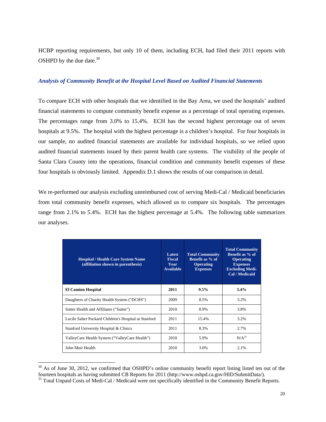HCBP reporting requirements, but only 10 of them, including ECH, had filed their 2011 reports with OSHPD by the due date. $30$ 

#### *Analysis of Community Benefit at the Hospital Level Based on Audited Financial Statements*

To compare ECH with other hospitals that we identified in the Bay Area, we used the hospitals' audited financial statements to compute community benefit expense as a percentage of total operating expenses. The percentages range from 3.0% to 15.4%. ECH has the second highest percentage out of seven hospitals at 9.5%. The hospital with the highest percentage is a children's hospital. For four hospitals in our sample, no audited financial statements are available for individual hospitals, so we relied upon audited financial statements issued by their parent health care systems. The visibility of the people of Santa Clara County into the operations, financial condition and community benefit expenses of these four hospitals is obviously limited. Appendix D.1 shows the results of our comparison in detail.

We re-performed our analysis excluding unreimbursed cost of serving Medi-Cal / Medicaid beneficiaries from total community benefit expenses, which allowed us to compare six hospitals. The percentages range from 2.1% to 5.4%. ECH has the highest percentage at 5.4%. The following table summarizes our analyses.

| <b>Hospital / Health Care System Name</b><br>(affiliation shown in parenthesis) | <b>Latest</b><br><b>Fiscal</b><br><b>Year</b><br><b>Available</b> | <b>Total Community</b><br>Benefit as % of<br><b>Operating</b><br><b>Expenses</b> | <b>Total Community</b><br>Benefit as % of<br><b>Operating</b><br><b>Expenses</b><br><b>Excluding Medi-</b><br>Cal / Medicaid |
|---------------------------------------------------------------------------------|-------------------------------------------------------------------|----------------------------------------------------------------------------------|------------------------------------------------------------------------------------------------------------------------------|
| <b>El Camino Hospital</b>                                                       | 2011                                                              | 9.5%                                                                             | 5.4%                                                                                                                         |
| Daughters of Charity Health System ("DCHS")                                     | 2009                                                              | 8.5%                                                                             | 3.2%                                                                                                                         |
| Sutter Health and Affiliates ("Sutter")                                         | 2010                                                              | 8.9%                                                                             | 3.8%                                                                                                                         |
| Lucile Salter Packard Children's Hospital at Stanford                           | 2011                                                              | 15.4%                                                                            | 3.2%                                                                                                                         |
| Stanford University Hospital & Clinics                                          | 2011                                                              | 8.3%                                                                             | 2.7%                                                                                                                         |
| ValleyCare Health System ("ValleyCare Health")                                  | 2010                                                              | 5.9%                                                                             | $N/A^{31}$                                                                                                                   |
| John Muir Health                                                                | 2010                                                              | 3.0%                                                                             | 2.1%                                                                                                                         |

 $30$  As of June 30, 2012, we confirmed that OSHPD's online community benefit report listing listed ten out of the fourteen hospitals as having submitted CB Reports for 2011 (http://www.oshpd.ca.gov/HID/SubmitData/).

l

<sup>&</sup>lt;sup>31</sup> Total Unpaid Costs of Medi-Cal / Medicaid were not specifically identified in the Community Benefit Reports.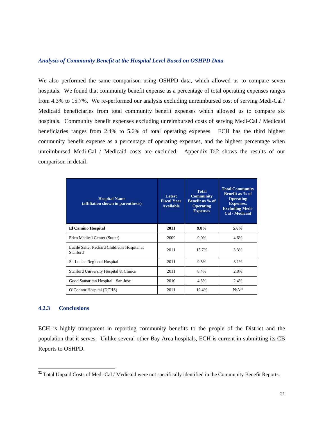#### *Analysis of Community Benefit at the Hospital Level Based on OSHPD Data*

We also performed the same comparison using OSHPD data, which allowed us to compare seven hospitals. We found that community benefit expense as a percentage of total operating expenses ranges from 4.3% to 15.7%. We re-performed our analysis excluding unreimbursed cost of serving Medi-Cal / Medicaid beneficiaries from total community benefit expenses which allowed us to compare six hospitals. Community benefit expenses excluding unreimbursed costs of serving Medi-Cal / Medicaid beneficiaries ranges from 2.4% to 5.6% of total operating expenses. ECH has the third highest community benefit expense as a percentage of operating expenses, and the highest percentage when unreimbursed Medi-Cal / Medicaid costs are excluded. Appendix D.2 shows the results of our comparison in detail.

| <b>Hospital Name</b><br>(affiliation shown in parenthesis) | Latest<br><b>Fiscal Year</b><br><b>Available</b> | <b>Total</b><br><b>Community</b><br>Benefit as % of<br><b>Operating</b><br><b>Expenses</b> | <b>Total Community</b><br>Benefit as % of<br><b>Operating</b><br>Expenses,<br><b>Excluding Medi-</b><br>Cal / Medicaid |
|------------------------------------------------------------|--------------------------------------------------|--------------------------------------------------------------------------------------------|------------------------------------------------------------------------------------------------------------------------|
| <b>El Camino Hospital</b>                                  | 2011                                             | 9.8%                                                                                       | 5.6%                                                                                                                   |
| Eden Medical Center (Sutter)                               | 2009                                             | 9.0%                                                                                       | 4.6%                                                                                                                   |
| Lucile Salter Packard Children's Hospital at<br>Stanford   | 2011                                             | 15.7%                                                                                      | 3.3%                                                                                                                   |
| St. Louise Regional Hospital                               | 2011                                             | 9.5%                                                                                       | 3.1%                                                                                                                   |
| Stanford University Hospital & Clinics                     | 2011                                             | 8.4%                                                                                       | 2.8%                                                                                                                   |
| Good Samaritan Hospital - San Jose                         | 2010                                             | 4.3%                                                                                       | 2.4%                                                                                                                   |
| O'Connor Hospital (DCHS)                                   | 2011                                             | 12.4%                                                                                      | $N/A^{32}$                                                                                                             |

#### **4.2.3 Conclusions**

l

ECH is highly transparent in reporting community benefits to the people of the District and the population that it serves. Unlike several other Bay Area hospitals, ECH is current in submitting its CB Reports to OSHPD.

 $32$  Total Unpaid Costs of Medi-Cal / Medicaid were not specifically identified in the Community Benefit Reports.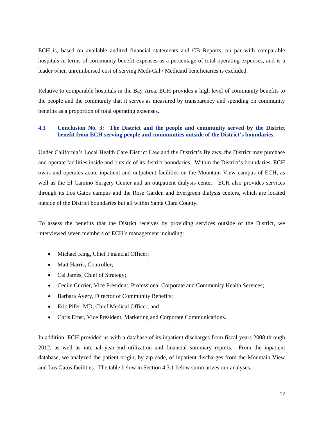ECH is, based on available audited financial statements and CB Reports, on par with comparable hospitals in terms of community benefit expenses as a percentage of total operating expenses, and is a leader when unreimbursed cost of serving Medi-Cal / Medicaid beneficiaries is excluded.

Relative to comparable hospitals in the Bay Area, ECH provides a high level of community benefits to the people and the community that it serves as measured by transparency and spending on community benefits as a proportion of total operating expenses.

#### **4.3 Conclusion No. 3: The District and the people and community served by the District benefit from ECH serving people and communities outside of the District's boundaries.**

Under California's Local Health Care District Law and the District's Bylaws, the District may purchase and operate facilities inside and outside of its district boundaries. Within the District's boundaries, ECH owns and operates acute inpatient and outpatient facilities on the Mountain View campus of ECH, as well as the El Camino Surgery Center and an outpatient dialysis center. ECH also provides services through its Los Gatos campus and the Rose Garden and Evergreen dialysis centers, which are located outside of the District boundaries but all within Santa Clara County*.*

To assess the benefits that the District receives by providing services outside of the District, we interviewed seven members of ECH's management including:

- Michael King, Chief Financial Officer;
- Matt Harris, Controller;
- Cal James, Chief of Strategy;
- Cecile Currier, Vice President, Professional Corporate and Community Health Services;
- Barbara Avery, Director of Community Benefits;
- Eric Pifer, MD, Chief Medical Officer; and
- Chris Ernst, Vice President, Marketing and Corporate Communications.

In addition, ECH provided us with a database of its inpatient discharges from fiscal years 2008 through 2012, as well as internal year-end utilization and financial summary reports. From the inpatient database, we analyzed the patient origin, by zip code, of inpatient discharges from the Mountain View and Los Gatos facilities. The table below in Section 4.3.1 below summarizes our analyses.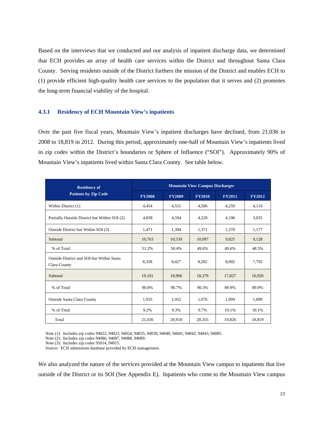Based on the interviews that we conducted and our analysis of inpatient discharge data, we determined that ECH provides an array of health care services within the District and throughout Santa Clara County. Serving residents outside of the District furthers the mission of the District and enables ECH to (1) provide efficient high-quality health care services to the population that it serves and (2) promotes the long-term financial viability of the hospital.

#### **4.3.1 Residency of ECH Mountain View's inpatients**

Over the past five fiscal years, Mountain View's inpatient discharges have declined, from 21,036 in 2008 to 18,819 in 2012. During this period, approximately one-half of Mountain View's inpatients lived in zip codes within the District's boundaries or Sphere of Influence ("SOI"). Approximately 90% of Mountain View's inpatients lived within Santa Clara County. See table below.

| <b>Residency of</b>                                       | <b>Mountain View Campus Discharges</b> |               |               |               |               |  |  |
|-----------------------------------------------------------|----------------------------------------|---------------|---------------|---------------|---------------|--|--|
| <b>Patients by Zip Code</b>                               | <b>FY2008</b>                          | <b>FY2009</b> | <b>FY2010</b> | <b>FY2011</b> | <b>FY2012</b> |  |  |
| Within District (1)                                       | 4,454                                  | 4,551         | 4,506         | 4,259         | 4,116         |  |  |
| Partially Outside District but Within SOI (2)             | 4,838                                  | 4.594         | 4,220         | 4.196         | 3,835         |  |  |
| Outside District but Within SOI (3)                       | 1,471                                  | 1,394         | 1,371         | 1,370         | 1,177         |  |  |
| Subtotal                                                  | 10,763                                 | 10,539        | 10,097        | 9,825         | 9,128         |  |  |
| % of Total                                                | 51.2%                                  | 50.4%         | 49.6%         | 49.6%         | 48.5%         |  |  |
| Outside District and SOI but Within Santa<br>Clara County | 8,338                                  | 8,427         | 8,282         | 8.002         | 7,792         |  |  |
| Subtotal                                                  | 19,101                                 | 18,966        | 18,379        | 17,827        | 16,920        |  |  |
| % of Total                                                | 90.8%                                  | 90.7%         | 90.3%         | 89.9%         | 89.9%         |  |  |
| <b>Outside Santa Clara County</b>                         | 1,935                                  | 1,952         | 1,976         | 1,999         | 1,899         |  |  |
| % of Total                                                | 9.2%                                   | 9.3%          | 9.7%          | 10.1%         | 10.1%         |  |  |
| Total                                                     | 21,036                                 | 20,918        | 20,355        | 19,826        | 18,819        |  |  |

Note (1): Includes zip codes 94022, 94023, 94024, 94035, 94039, 94040, 94041, 94042, 94043, 94085.

Note (2): Includes zip codes 94086, 94087, 94088, 94089.

Note (3): Includes zip codes 95014, 94015.

Source: ECH admissions database provided by ECH management.

We also analyzed the nature of the services provided at the Mountain View campus to inpatients that live outside of the District or its SOI (See Appendix E). Inpatients who come to the Mountain View campus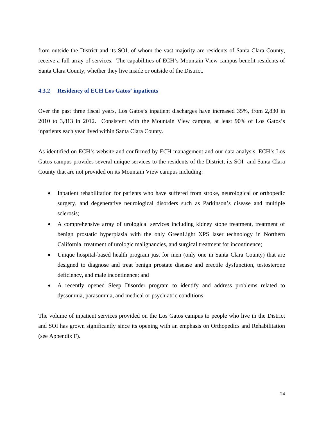from outside the District and its SOI, of whom the vast majority are residents of Santa Clara County, receive a full array of services. The capabilities of ECH's Mountain View campus benefit residents of Santa Clara County, whether they live inside or outside of the District.

#### **4.3.2 Residency of ECH Los Gatos' inpatients**

Over the past three fiscal years, Los Gatos's inpatient discharges have increased 35%, from 2,830 in 2010 to 3,813 in 2012. Consistent with the Mountain View campus, at least 90% of Los Gatos's inpatients each year lived within Santa Clara County.

As identified on ECH's website and confirmed by ECH management and our data analysis, ECH's Los Gatos campus provides several unique services to the residents of the District, its SOI and Santa Clara County that are not provided on its Mountain View campus including:

- Inpatient rehabilitation for patients who have suffered from stroke, neurological or orthopedic surgery, and degenerative neurological disorders such as Parkinson's disease and multiple sclerosis;
- A comprehensive array of urological services including kidney stone treatment, treatment of benign prostatic hyperplasia with the only GreenLight XPS laser technology in Northern California, treatment of urologic malignancies, and surgical treatment for incontinence;
- Unique hospital-based health program just for men (only one in Santa Clara County) that are designed to diagnose and treat benign prostate disease and erectile dysfunction, testosterone deficiency, and male incontinence; and
- A recently opened Sleep Disorder program to identify and address problems related to dyssomnia, parasomnia, and medical or psychiatric conditions.

The volume of inpatient services provided on the Los Gatos campus to people who live in the District and SOI has grown significantly since its opening with an emphasis on Orthopedics and Rehabilitation (see Appendix F).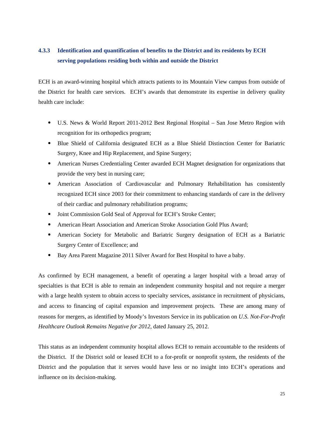#### **4.3.3 Identification and quantification of benefits to the District and its residents by ECH serving populations residing both within and outside the District**

ECH is an award-winning hospital which attracts patients to its Mountain View campus from outside of the District for health care services. ECH's awards that demonstrate its expertise in delivery quality health care include:

- U.S. News & World Report 2011-2012 Best Regional Hospital San Jose Metro Region with recognition for its orthopedics program;
- Blue Shield of California designated ECH as a Blue Shield Distinction Center for Bariatric Surgery, Knee and Hip Replacement, and Spine Surgery;
- American Nurses Credentialing Center awarded ECH Magnet designation for organizations that provide the very best in nursing care;
- American Association of Cardiovascular and Pulmonary Rehabilitation has consistently recognized ECH since 2003 for their commitment to enhancing standards of care in the delivery of their cardiac and pulmonary rehabilitation programs;
- Joint Commission Gold Seal of Approval for ECH's Stroke Center;
- American Heart Association and American Stroke Association Gold Plus Award;
- American Society for Metabolic and Bariatric Surgery designation of ECH as a Bariatric Surgery Center of Excellence; and
- Bay Area Parent Magazine 2011 Silver Award for Best Hospital to have a baby.

As confirmed by ECH management, a benefit of operating a larger hospital with a broad array of specialties is that ECH is able to remain an independent community hospital and not require a merger with a large health system to obtain access to specialty services, assistance in recruitment of physicians, and access to financing of capital expansion and improvement projects. These are among many of reasons for mergers, as identified by Moody's Investors Service in its publication on *U.S. Not-For-Profit Healthcare Outlook Remains Negative for 2012*, dated January 25, 2012.

This status as an independent community hospital allows ECH to remain accountable to the residents of the District. If the District sold or leased ECH to a for-profit or nonprofit system, the residents of the District and the population that it serves would have less or no insight into ECH's operations and influence on its decision-making.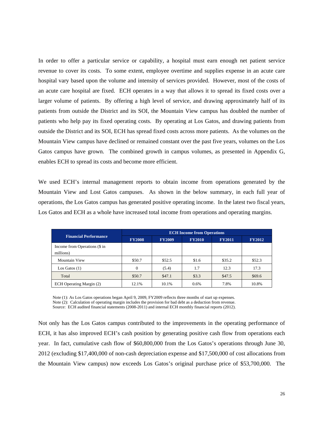In order to offer a particular service or capability, a hospital must earn enough net patient service revenue to cover its costs. To some extent, employee overtime and supplies expense in an acute care hospital vary based upon the volume and intensity of services provided. However, most of the costs of an acute care hospital are fixed. ECH operates in a way that allows it to spread its fixed costs over a larger volume of patients. By offering a high level of service, and drawing approximately half of its patients from outside the District and its SOI, the Mountain View campus has doubled the number of patients who help pay its fixed operating costs. By operating at Los Gatos, and drawing patients from outside the District and its SOI, ECH has spread fixed costs across more patients. As the volumes on the Mountain View campus have declined or remained constant over the past five years, volumes on the Los Gatos campus have grown. The combined growth in campus volumes, as presented in Appendix G, enables ECH to spread its costs and become more efficient.

We used ECH's internal management reports to obtain income from operations generated by the Mountain View and Lost Gatos campuses. As shown in the below summary, in each full year of operations, the Los Gatos campus has generated positive operating income. In the latest two fiscal years, Los Gatos and ECH as a whole have increased total income from operations and operating margins.

|                                            | <b>ECH Income from Operations</b> |               |               |               |               |  |  |
|--------------------------------------------|-----------------------------------|---------------|---------------|---------------|---------------|--|--|
| <b>Financial Performance</b>               | <b>FY2008</b>                     | <b>FY2009</b> | <b>FY2010</b> | <b>FY2011</b> | <b>FY2012</b> |  |  |
| Income from Operations (\$ in<br>millions) |                                   |               |               |               |               |  |  |
| <b>Mountain View</b>                       | \$50.7                            | \$52.5        | \$1.6         | \$35.2        | \$52.3        |  |  |
| Los Gatos $(1)$                            | $\Omega$                          | (5.4)         | 1.7           | 12.3          | 17.3          |  |  |
| Total                                      | \$50.7                            | \$47.1        | \$3.3         | \$47.5        | \$69.6        |  |  |
| ECH Operating Margin (2)                   | 12.1%                             | 10.1%         | 0.6%          | 7.8%          | 10.8%         |  |  |

Note (1): As Los Gatos operations began April 9, 2009, FY2009 reflects three months of start up expenses. Note (2): Calculation of operating margin includes the provision for bad debt as a deduction from revenue. Source: ECH audited financial statements (2008-2011) and internal ECH monthly financial reports (2012).

Not only has the Los Gatos campus contributed to the improvements in the operating performance of ECH, it has also improved ECH's cash position by generating positive cash flow from operations each year. In fact, cumulative cash flow of \$60,800,000 from the Los Gatos's operations through June 30, 2012 (excluding \$17,400,000 of non-cash depreciation expense and \$17,500,000 of cost allocations from the Mountain View campus) now exceeds Los Gatos's original purchase price of \$53,700,000. The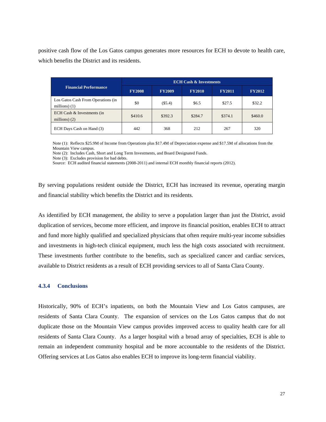positive cash flow of the Los Gatos campus generates more resources for ECH to devote to health care, which benefits the District and its residents.

|                                                       | <b>ECH Cash &amp; Investments</b> |               |               |               |               |  |
|-------------------------------------------------------|-----------------------------------|---------------|---------------|---------------|---------------|--|
| <b>Financial Performance</b>                          | <b>FY2008</b>                     | <b>FY2009</b> | <b>FY2010</b> | <b>FY2011</b> | <b>FY2012</b> |  |
| Los Gatos Cash From Operations (in<br>millions) $(1)$ | \$0                               | (\$5.4)       | \$6.5         | \$27.5        | \$32.2        |  |
| ECH Cash & Investments (in<br>millions) $(2)$         | \$410.6                           | \$392.3       | \$284.7       | \$374.1       | \$460.0       |  |
| ECH Days Cash on Hand (3)                             | 442                               | 368           | 2.12          | 267           | 320           |  |

Note (1): Reflects \$25.9M of Income from Operations plus \$17.4M of Depreciation expense and \$17.5M of allocations from the Mountain View campus.

Note (2): Includes Cash, Short and Long Term Investments, and Board Designated Funds.

Note (3): Excludes provision for bad debts.

Source: ECH audited financial statements (2008-2011) and internal ECH monthly financial reports (2012).

By serving populations resident outside the District, ECH has increased its revenue, operating margin and financial stability which benefits the District and its residents.

As identified by ECH management, the ability to serve a population larger than just the District, avoid duplication of services, become more efficient, and improve its financial position, enables ECH to attract and fund more highly qualified and specialized physicians that often require multi-year income subsidies and investments in high-tech clinical equipment, much less the high costs associated with recruitment. These investments further contribute to the benefits, such as specialized cancer and cardiac services, available to District residents as a result of ECH providing services to all of Santa Clara County.

#### **4.3.4 Conclusions**

Historically, 90% of ECH's inpatients, on both the Mountain View and Los Gatos campuses, are residents of Santa Clara County. The expansion of services on the Los Gatos campus that do not duplicate those on the Mountain View campus provides improved access to quality health care for all residents of Santa Clara County. As a larger hospital with a broad array of specialties, ECH is able to remain an independent community hospital and be more accountable to the residents of the District. Offering services at Los Gatos also enables ECH to improve its long-term financial viability.